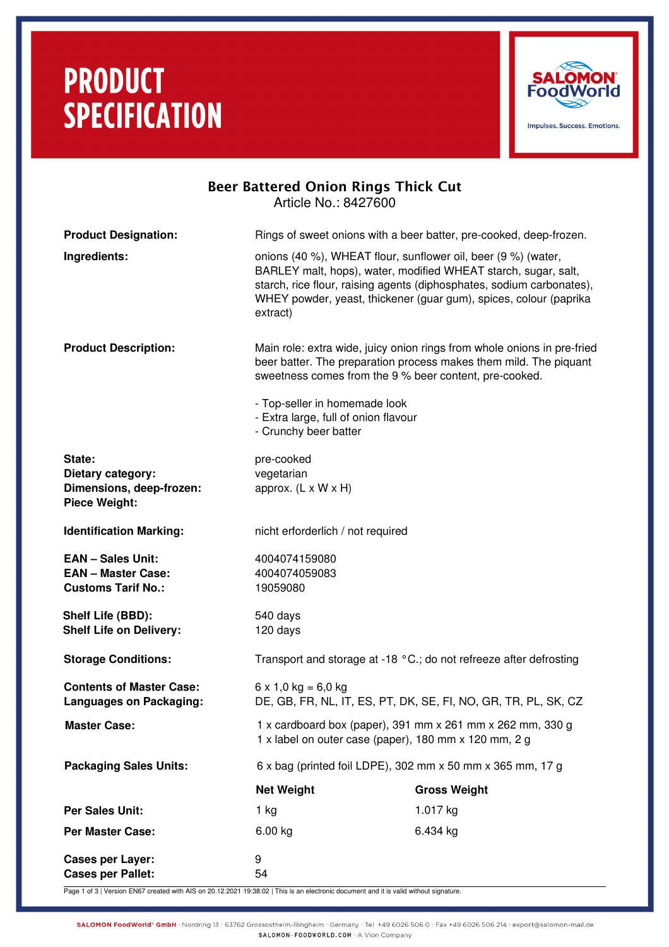# **PRODUCT SPECIFICATION**



| <b>Beer Battered Onion Rings Thick Cut</b><br>Article No.: 8427600                 |                                                                                                                     |                                                                                                                                                                                                              |  |  |
|------------------------------------------------------------------------------------|---------------------------------------------------------------------------------------------------------------------|--------------------------------------------------------------------------------------------------------------------------------------------------------------------------------------------------------------|--|--|
| <b>Product Designation:</b>                                                        |                                                                                                                     | Rings of sweet onions with a beer batter, pre-cooked, deep-frozen.                                                                                                                                           |  |  |
| Ingredients:                                                                       | onions (40 %), WHEAT flour, sunflower oil, beer (9 %) (water,<br>extract)                                           | BARLEY malt, hops), water, modified WHEAT starch, sugar, salt,<br>starch, rice flour, raising agents (diphosphates, sodium carbonates),<br>WHEY powder, yeast, thickener (guar gum), spices, colour (paprika |  |  |
| <b>Product Description:</b>                                                        | sweetness comes from the 9 % beer content, pre-cooked.                                                              | Main role: extra wide, juicy onion rings from whole onions in pre-fried<br>beer batter. The preparation process makes them mild. The piquant                                                                 |  |  |
|                                                                                    | - Top-seller in homemade look<br>- Extra large, full of onion flavour<br>- Crunchy beer batter                      |                                                                                                                                                                                                              |  |  |
| State:<br>Dietary category:<br>Dimensions, deep-frozen:<br><b>Piece Weight:</b>    | pre-cooked<br>vegetarian<br>approx. $(L \times W \times H)$                                                         |                                                                                                                                                                                                              |  |  |
| <b>Identification Marking:</b>                                                     | nicht erforderlich / not required                                                                                   |                                                                                                                                                                                                              |  |  |
| <b>EAN - Sales Unit:</b><br><b>EAN - Master Case:</b><br><b>Customs Tarif No.:</b> | 4004074159080<br>4004074059083<br>19059080                                                                          |                                                                                                                                                                                                              |  |  |
| Shelf Life (BBD):<br><b>Shelf Life on Delivery:</b>                                | 540 days<br>120 days                                                                                                |                                                                                                                                                                                                              |  |  |
| <b>Storage Conditions:</b>                                                         | Transport and storage at -18 °C.; do not refreeze after defrosting                                                  |                                                                                                                                                                                                              |  |  |
| <b>Contents of Master Case:</b><br><b>Languages on Packaging:</b>                  | $6 \times 1,0 \text{ kg} = 6,0 \text{ kg}$<br>DE, GB, FR, NL, IT, ES, PT, DK, SE, FI, NO, GR, TR, PL, SK, CZ        |                                                                                                                                                                                                              |  |  |
| <b>Master Case:</b>                                                                | 1 x cardboard box (paper), 391 mm x 261 mm x 262 mm, 330 g<br>1 x label on outer case (paper), 180 mm x 120 mm, 2 g |                                                                                                                                                                                                              |  |  |
| <b>Packaging Sales Units:</b>                                                      | 6 x bag (printed foil LDPE), 302 mm x 50 mm x 365 mm, 17 g                                                          |                                                                                                                                                                                                              |  |  |
|                                                                                    | <b>Net Weight</b>                                                                                                   | <b>Gross Weight</b>                                                                                                                                                                                          |  |  |
| <b>Per Sales Unit:</b>                                                             | 1 kg                                                                                                                | 1.017 kg                                                                                                                                                                                                     |  |  |
| <b>Per Master Case:</b>                                                            | 6.00 kg                                                                                                             | 6.434 kg                                                                                                                                                                                                     |  |  |
| <b>Cases per Layer:</b><br><b>Cases per Pallet:</b>                                | 9<br>54                                                                                                             |                                                                                                                                                                                                              |  |  |

Page 1 of 3 | Version EN67 created with AIS on 20.12.2021 19:38:02 | This is an electronic document and it is valid without signature.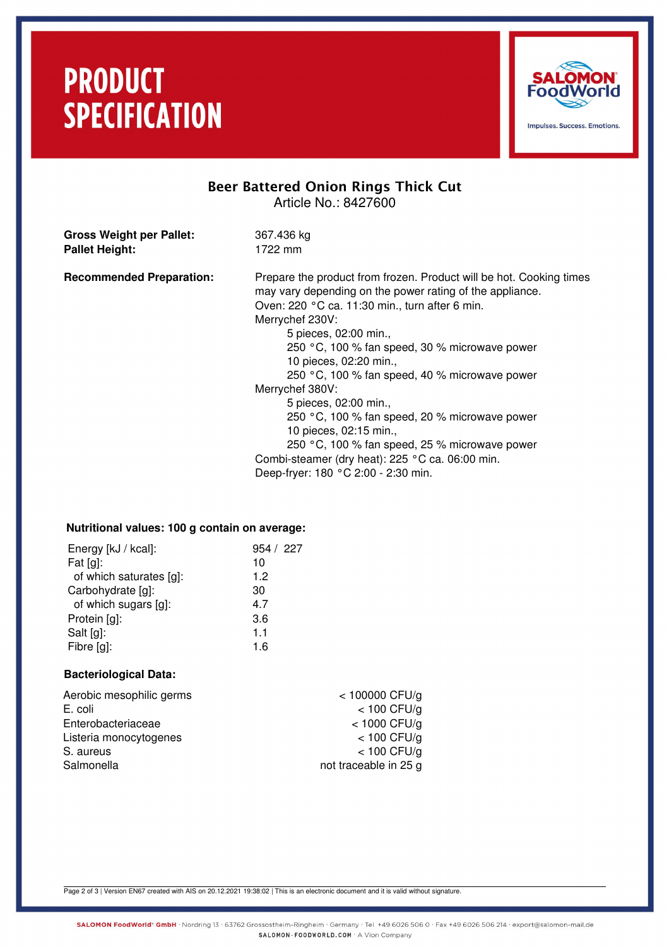## **PRODUCT SPECIFICATION**



### Beer Battered Onion Rings Thick Cut Article No.: 8427600

**Gross Weight per Pallet:** 367.436 kg Pallet Height: 1722 mm

**Recommended Preparation:** Prepare the product from frozen. Product will be hot. Cooking times may vary depending on the power rating of the appliance. Oven: 220 °C ca. 11:30 min., turn after 6 min. Merrychef 230V: 5 pieces, 02:00 min., 250 °C, 100 % fan speed, 30 % microwave power

10 pieces, 02:20 min.,

250 °C, 100 % fan speed, 40 % microwave power Merrychef 380V:

5 pieces, 02:00 min.,

250 °C, 100 % fan speed, 20 % microwave power 10 pieces, 02:15 min.,

250 °C, 100 % fan speed, 25 % microwave power Combi-steamer (dry heat): 225 °C ca. 06:00 min. Deep-fryer: 180 °C 2:00 - 2:30 min.

### **Nutritional values: 100 g contain on average:**

| Energy [kJ / kcal]:     | 954 / 227 |
|-------------------------|-----------|
| Fat $[g]$ :             | 10        |
| of which saturates [g]: | 1.2       |
| Carbohydrate [g]:       | 30        |
| of which sugars [g]:    | 4.7       |
| Protein [g]:            | 3.6       |
| Salt [g]:               | 1.1       |
| Fibre [g]:              | 1.6       |
|                         |           |

#### **Bacteriological Data:**

| $<$ 100000 CFU/g      |
|-----------------------|
| $<$ 100 CFU/g         |
| $<$ 1000 CFU/g        |
| $<$ 100 CFU/g         |
| $<$ 100 CFU/g         |
| not traceable in 25 g |
|                       |

Page 2 of 3 | Version EN67 created with AIS on 20.12.2021 19:38:02 | This is an electronic document and it is valid without signature.